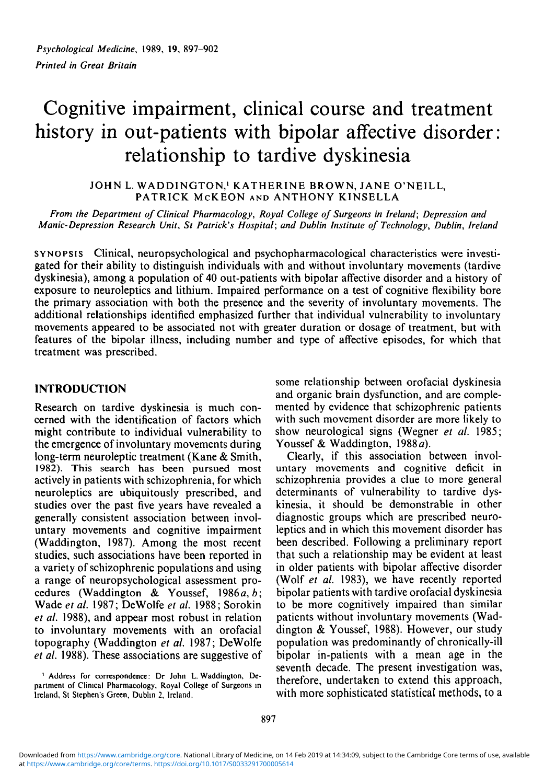# Cognitive impairment, clinical course and treatment history in out-patients with bipolar affective disorder: relationship to tardive dyskinesia

JOHN L. WADDINGTON,<sup>1</sup> KATHERINE BROWN, JANE O'NEILL, PATRICK McKEON AND ANTHONY KINSELLA

*From the Department of Clinical Pharmacology, Royal College of Surgeons in Ireland; Depression and Manic-Depression Research Unit, St Patrick's Hospital; and Dublin Institute of Technology, Dublin, Ireland*

SYNOPSIS Clinical, neuropsychological and psychopharmacological characteristics were investigated for their ability to distinguish individuals with and without involuntary movements (tardive dyskinesia), among a population of 40 out-patients with bipolar affective disorder and a history of exposure to neuroleptics and lithium. Impaired performance on a test of cognitive flexibility bore the primary association with both the presence and the severity of involuntary movements. The additional relationships identified emphasized further that individual vulnerability to involuntary movements appeared to be associated not with greater duration or dosage of treatment, but with features of the bipolar illness, including number and type of affective episodes, for which that treatment was prescribed.

### **INTRODUCTION**

Research on tardive dyskinesia is much concerned with the identification of factors which might contribute to individual vulnerability to the emergence of involuntary movements during long-term neuroleptic treatment (Kane & Smith, 1982). This search has been pursued most actively in patients with schizophrenia, for which neuroleptics are ubiquitously prescribed, and studies over the past five years have revealed a generally consistent association between involuntary movements and cognitive impairment (Waddington, 1987). Among the most recent studies, such associations have been reported in a variety of schizophrenic populations and using a range of neuropsychological assessment procedures (Waddington & Youssef, 1986 a, *b;* Wade *et al.* 1987; DeWolfe *et al.* 1988; Sorokin *et al.* 1988), and appear most robust in relation to involuntary movements with an orofacial topography (Waddington *et al.* 1987; DeWolfe *et al.* 1988). These associations are suggestive of

**1 Address for correspondence: Dr John L. Waddington, Department of Clinical Pharmacology, Royal College of Surgeons in Ireland, St Stephen's Green, Dublin 2, Ireland.**

some relationship between orofacial dyskinesia and organic brain dysfunction, and are complemented by evidence that schizophrenic patients with such movement disorder are more likely to show neurological signs (Wegner *et al.* 1985; Youssef & Waddington, 1988a).

Clearly, if this association between involuntary movements and cognitive deficit in schizophrenia provides a clue to more general determinants of vulnerability to tardive dyskinesia, it should be demonstrable in other diagnostic groups which are prescribed neuroleptics and in which this movement disorder has been described. Following a preliminary report that such a relationship may be evident at least in older patients with bipolar affective disorder (Wolf *et al.* 1983), we have recently reported bipolar patients with tardive orofacial dyskinesia to be more cognitively impaired than similar patients without involuntary movements (Waddington & Youssef, 1988). However, our study population was predominantly of chronically-ill bipolar in-patients with a mean age in the seventh decade. The present investigation was, therefore, undertaken to extend this approach, with more sophisticated statistical methods, to a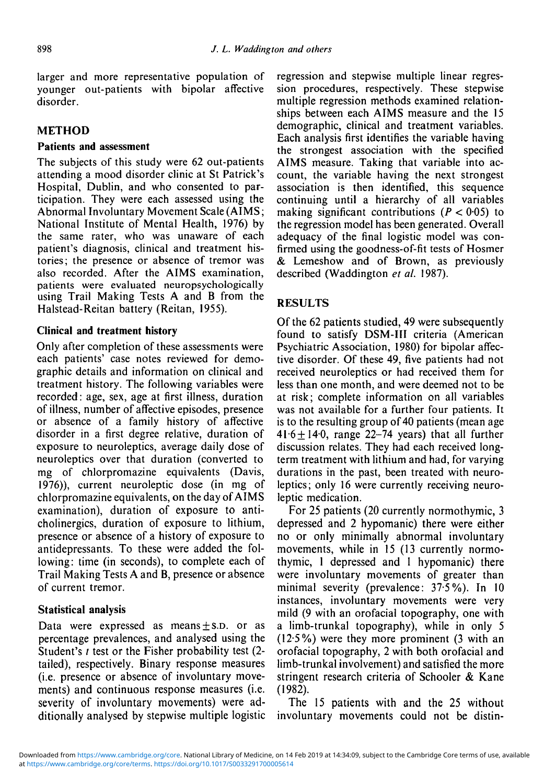larger and more representative population of younger out-patients with bipolar affective disorder.

## **METHOD**

#### **Patients and assessment**

The subjects of this study were 62 out-patients attending a mood disorder clinic at St Patrick's Hospital, Dublin, and who consented to participation. They were each assessed using the Abnormal Involuntary Movement Scale (AIMS; National Institute of Mental Health, 1976) by the same rater, who was unaware of each patient's diagnosis, clinical and treatment histories; the presence or absence of tremor was also recorded. After the AIMS examination, patients were evaluated neuropsychologically using Trail Making Tests A and B from the Halstead-Reitan battery (Reitan, 1955).

### **Clinical and treatment history**

Only after completion of these assessments were each patients' case notes reviewed for demographic details and information on clinical and treatment history. The following variables were recorded: age, sex, age at first illness, duration of illness, number of affective episodes, presence or absence of a family history of affective disorder in a first degree relative, duration of exposure to neuroleptics, average daily dose of neuroleptics over that duration (converted to mg of chlorpromazine equivalents (Davis, 1976)), current neuroleptic dose (in mg of chlorpromazine equivalents, on the day of AIMS examination), duration of exposure to anticholinergics, duration of exposure to lithium, presence or absence of a history of exposure to antidepressants. To these were added the following: time (in seconds), to complete each of Trail Making Tests A and B, presence or absence of current tremor.

## **Statistical analysis**

Data were expressed as means  $\pm$  s.D. or as percentage prevalences, and analysed using the Student's *t* test or the Fisher probability test (2 tailed), respectively. Binary response measures (i.e. presence or absence of involuntary movements) and continuous response measures (i.e. severity of involuntary movements) were additionally analysed by stepwise multiple logistic

regression and stepwise multiple linear regression procedures, respectively. These stepwise multiple regression methods examined relationships between each AIMS measure and the 15 demographic, clinical and treatment variables. Each analysis first identifies the variable having the strongest association with the specified AIMS measure. Taking that variable into account, the variable having the next strongest association is then identified, this sequence continuing until a hierarchy of all variables making significant contributions  $(P < 0.05)$  to the regression model has been generated. Overall adequacy of the final logistic model was confirmed using the goodness-of-fit tests of Hosmer & Lemeshow and of Brown, as previously described (Waddington *et al.* 1987).

## **RESULTS**

Of the 62 patients studied, 49 were subsequently found to satisfy DSM-III criteria (American Psychiatric Association, 1980) for bipolar affective disorder. Of these 49, five patients had not received neuroleptics or had received them for less than one month, and were deemed not to be at risk; complete information on all variables was not available for a further four patients. It is to the resulting group of 40 patients (mean age  $41.6 \pm 14.0$ , range 22-74 years) that all further discussion relates. They had each received longterm treatment with lithium and had, for varying durations in the past, been treated with neuroleptics; only 16 were currently receiving neuroleptic medication.

For 25 patients (20 currently normothymic, 3 depressed and 2 hypomanic) there were either no or only minimally abnormal involuntary movements, while in 15 (13 currently normothymic, 1 depressed and 1 hypomanic) there were involuntary movements of greater than minimal severity (prevalence: 37-5%). In 10 instances, involuntary movements were very mild (9 with an orofacial topography, one with a limb-trunkal topography), while in only 5 (12-5%) were they more prominent (3 with an orofacial topography, 2 with both orofacial and limb-trunkal involvement) and satisfied the more stringent research criteria of Schooler & Kane (1982).

The 15 patients with and the 25 without involuntary movements could not be distin-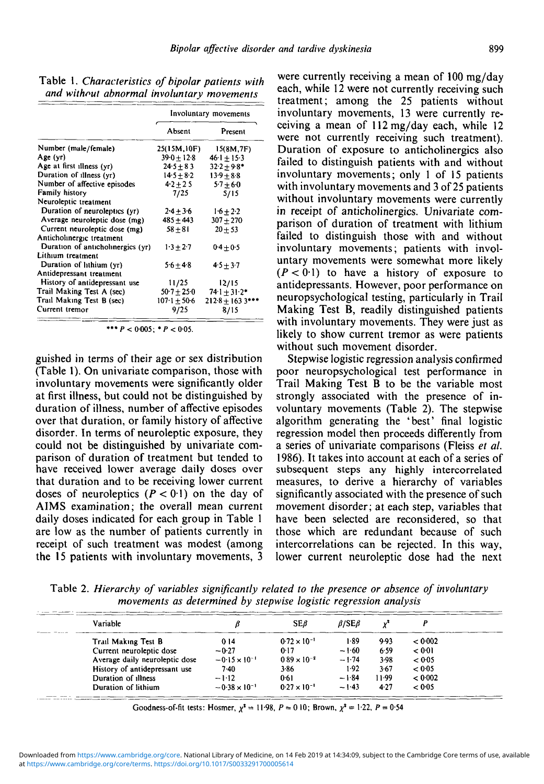|                                   |                   | Involuntary movements |  |
|-----------------------------------|-------------------|-----------------------|--|
|                                   | Absent            | Present               |  |
| Number (male/female)              | 25(15M,10F)       | 15(8M,7F)             |  |
| Age (yr)                          | $39.0 \pm 12.8$   | $46.1 + 15.3$         |  |
| Age at first illness (yr)         | $24.5 + 83$       | $32.2 + 9.8*$         |  |
| Duration of illness (yr)          | $14.5 + 8.2$      | $13.9 + 8.8$          |  |
| Number of affective episodes      | $4.2 + 2.5$       | $5.7 + 6.0$           |  |
| <b>Family history</b>             | 7/25              | 5/15                  |  |
| Neuroleptic treatment             |                   |                       |  |
| Duration of neuroleptics (yr)     | $2.4 \pm 3.6$     | $1.6 + 2.2$           |  |
| Average neuroleptic dose (mg)     | $485 + 443$       | $307 + 270$           |  |
| Current neuroleptic dose (mg)     | 58 + 8 I          | $20 + 53$             |  |
| Anticholinergic treatment         |                   |                       |  |
| Duration of anticholinergics (yr) | $1.3 + 2.7$       | $0.4 + 0.5$           |  |
| Lithium treatment                 |                   |                       |  |
| Duration of lithium (yr)          | $5.6 + 4.8$       | $4.5 + 3.7$           |  |
| Antidepressant treatment          |                   |                       |  |
| History of antidepressant use     | 11/25             | 12/15                 |  |
| Trail Making Test A (sec)         | $50 - 7 + 25 - 0$ | $74.1 \pm 31.2*$      |  |
| Trail Making Test B (sec)         | $107.1 \pm 50.6$  | $212.8 \pm 1633$ ***  |  |
| Current tremor                    | 9/25              | 8/15                  |  |

|  | Table 1. Characteristics of bipolar patients with |  |
|--|---------------------------------------------------|--|
|  | and without abnormal involuntary movements        |  |

\*\*\*  $P < 0.005$ ; \*  $P < 0.05$ .

guished in terms of their age or sex distribution (Table 1). On univariate comparison, those with involuntary movements were significantly older at first illness, but could not be distinguished by duration of illness, number of affective episodes over that duration, or family history of affective disorder. In terms of neuroleptic exposure, they could not be distinguished by univariate comparison of duration of treatment but tended to have received lower average daily doses over that duration and to be receiving lower current doses of neuroleptics  $(P < 0.1)$  on the day of AIMS examination; the overall mean current daily doses indicated for each group in Table 1 are low as the number of patients currently in receipt of such treatment was modest (among the 15 patients with involuntary movements, 3

were currently receiving a mean of 100 mg/day each, while 12 were not currently receiving such treatment; among the 25 patients without involuntary movements, 13 were currently receiving a mean of 112 mg/day each, while 12 were not currently receiving such treatment). Duration of exposure to anticholinergics also failed to distinguish patients with and without involuntary movements; only 1 of 15 patients with involuntary movements and 3 of 25 patients without involuntary movements were currently in receipt of anticholinergics. Univariate comparison of duration of treatment with lithium failed to distinguish those with and without involuntary movements; patients with involuntary movements were somewhat more likely  $(P < 0.1)$  to have a history of exposure to antidepressants. However, poor performance on neuropsychological testing, particularly in Trail Making Test B, readily distinguished patients with involuntary movements. They were just as likely to show current tremor as were patients without such movement disorder.

Stepwise logistic regression analysis confirmed poor neuropsychological test performance in Trail Making Test B to be the variable most strongly associated with the presence of involuntary movements (Table 2). The stepwise algorithm generating the 'best' final logistic regression model then proceeds differently from a series of univariate comparisons (Fleiss *et al.* 1986). It takes into account at each of a series of subsequent steps any highly intercorrelated measures, to derive a hierarchy of variables significantly associated with the presence of such movement disorder; at each step, variables that have been selected are reconsidered, so that those which are redundant because of such intercorrelations can be rejected. In this way, lower current neuroleptic dose had the next

Table 2. *Hierarchy of variables significantly related to the presence or absence of involuntary movements as determined by stepwise logistic regression analysis*

| Variable                       |                        | $SE\beta$             | $\beta$ /SE $\beta$ |       |         |
|--------------------------------|------------------------|-----------------------|---------------------|-------|---------|
| Trail Making Test B            | 014                    | $0.72 \times 10^{-1}$ | 1.89                | 9.93  | < 0.002 |
| Current neuroleptic dose       | $-0.27$                | 0.17                  | $-1.60$             | 6.59  | < 0.01  |
| Average daily neuroleptic dose | $-0.15 \times 10^{-1}$ | $0.89 \times 10^{-2}$ | $-1.74$             | 3.98  | <0.05   |
| History of antidepressant use  | 7-40                   | $3 - 86$              | 1.92                | 3.67  | < 0.05  |
| Duration of illness            | $-1.12$                | 0.61                  | $-1.84$             | 11-99 | < 0.002 |
| Duration of lithium            | $-0.38 \times 10^{-1}$ | $0.27 \times 10^{-1}$ | $-1.43$             | 4.27  | < 0.05  |

Goodness-of-fit tests: Hosmer,  $\chi^2 = 11.98$ ,  $P = 0.10$ ; Brown,  $\chi^2 = 1.22$ ,  $P = 0.54$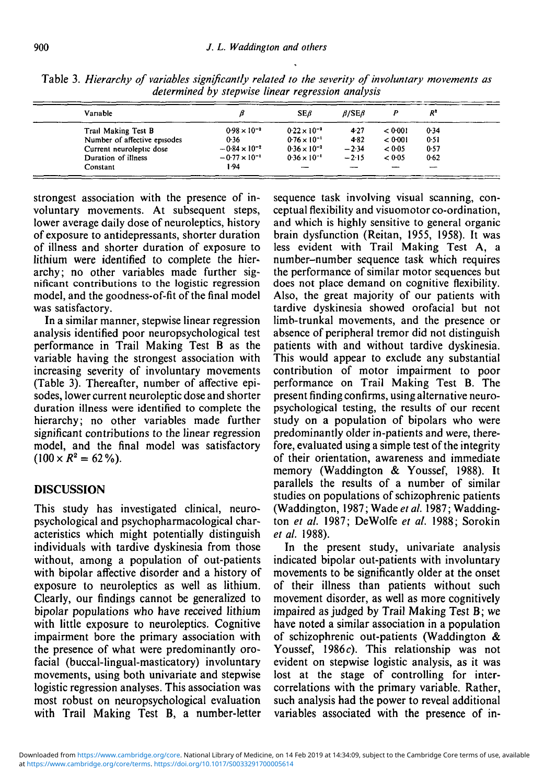| Variable                     |                        | SEB                   | B/SEB   |         | R,   |
|------------------------------|------------------------|-----------------------|---------|---------|------|
| Trail Making Test B          | $0.98 \times 10^{-2}$  | $0.22 \times 10^{-3}$ | 4.27    | < 0.001 | 0.34 |
| Number of affective episodes | 0.36                   | $0.76 \times 10^{-1}$ | 4.82    | < 0.001 | 0.51 |
| Current neuroleptic dose     | $-0.84 \times 10^{-2}$ | $0.36 \times 10^{-2}$ | $-2.34$ | < 0.05  | 0.57 |
| Duration of illness          | $-0.77 \times 10^{-1}$ | $0.36 \times 10^{-1}$ | $-2.15$ | < 0.05  | 0.62 |
| Constant                     | 1.94                   |                       |         |         |      |

Table 3. *Hierarchy of variables significantly related to the severity of involuntary movements as determined by stepwise linear regression analysis*

strongest association with the presence of involuntary movements. At subsequent steps, lower average daily dose of neuroleptics, history of exposure to antidepressants, shorter duration of illness and shorter duration of exposure to lithium were identified to complete the hierarchy; no other variables made further significant contributions to the logistic regression model, and the goodness-of-fit of the final model was satisfactory.

In a similar manner, stepwise linear regression analysis identified poor neuropsychological test performance in Trail Making Test B as the variable having the strongest association with increasing severity of involuntary movements (Table 3). Thereafter, number of affective episodes, lower current neuroleptic dose and shorter duration illness were identified to complete the hierarchy; no other variables made further significant contributions to the linear regression model, and the final model was satisfactory  $(100 \times R^2 = 62\%)$ .

### **DISCUSSION**

This study has investigated clinical, neuropsychological and psychopharmacological characteristics which might potentially distinguish individuals with tardive dyskinesia from those without, among a population of out-patients with bipolar affective disorder and a history of exposure to neuroleptics as well as lithium. Clearly, our findings cannot be generalized to bipolar populations who have received lithium with little exposure to neuroleptics. Cognitive impairment bore the primary association with the presence of what were predominantly orofacial (buccal-lingual-masticatory) involuntary movements, using both univariate and stepwise logistic regression analyses. This association was most robust on neuropsychological evaluation with Trail Making Test B, a number-letter

sequence task involving visual scanning, conceptual flexibility and visuomotor co-ordination, and which is highly sensitive to general organic brain dysfunction (Reitan, 1955, 1958). It was less evident with Trail Making Test A, a number-number sequence task which requires the performance of similar motor sequences but does not place demand on cognitive flexibility. Also, the great majority of our patients with tardive dyskinesia showed orofacial but not limb-trunkal movements, and the presence or absence of peripheral tremor did not distinguish patients with and without tardive dyskinesia. This would appear to exclude any substantial contribution of motor impairment to poor performance on Trail Making Test B. The present finding confirms, using alternative neuropsychological testing, the results of our recent study on a population of bipolars who were predominantly older in-patients and were, therefore, evaluated using a simple test of the integrity of their orientation, awareness and immediate memory (Waddington & Youssef, 1988). It parallels the results of a number of similar studies on populations of schizophrenic patients (Waddington, 1987; Wade *et al.* 1987; Waddington *et al.* 1987; DeWolfe *et al.* 1988; Sorokin *et al.* 1988).

In the present study, univariate analysis indicated bipolar out-patients with involuntary movements to be significantly older at the onset of their illness than patients without such movement disorder, as well as more cognitively impaired as judged by Trail Making Test B; we have noted a similar association in a population of schizophrenic out-patients (Waddington & Youssef, 1986 $c$ ). This relationship was not evident on stepwise logistic analysis, as it was lost at the stage of controlling for intercorrelations with the primary variable. Rather, such analysis had the power to reveal additional variables associated with the presence of in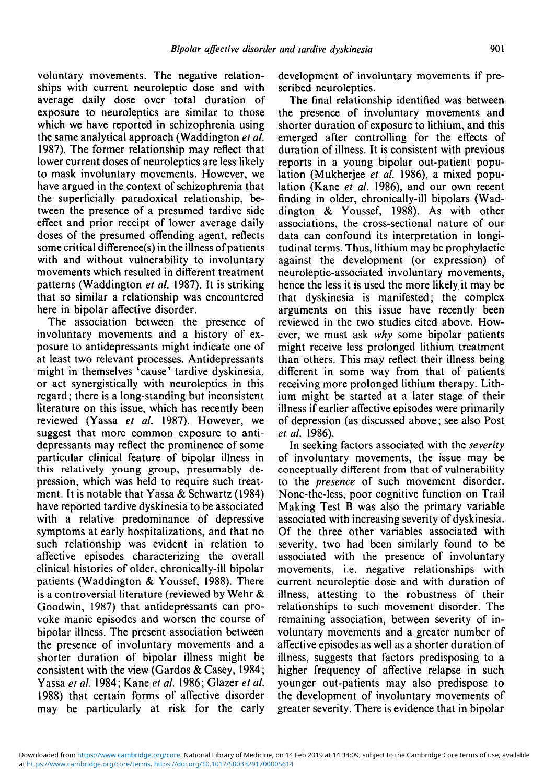voluntary movements. The negative relationships with current neuroleptic dose and with average daily dose over total duration of exposure to neuroleptics are similar to those which we have reported in schizophrenia using the same analytical approach (Waddington *et al.* 1987). The former relationship may reflect that lower current doses of neuroleptics are less likely to mask involuntary movements. However, we have argued in the context of schizophrenia that the superficially paradoxical relationship, between the presence of a presumed tardive side effect and prior receipt of lower average daily doses of the presumed offending agent, reflects some critical difference(s) in the illness of patients with and without vulnerability to involuntary movements which resulted in different treatment patterns (Waddington *et al.* 1987). It is striking that so similar a relationship was encountered here in bipolar affective disorder.

The association between the presence of involuntary movements and a history of exposure to antidepressants might indicate one of at least two relevant processes. Antidepressants might in themselves 'cause' tardive dyskinesia, or act synergistically with neuroleptics in this regard; there is a long-standing but inconsistent literature on this issue, which has recently been reviewed (Yassa *et al.* 1987). However, we suggest that more common exposure to antidepressants may reflect the prominence of some particular clinical feature of bipolar illness in this relatively young group, presumably depression, which was held to require such treatment. It is notable that Yassa & Schwartz (1984) have reported tardive dyskinesia to be associated with a relative predominance of depressive symptoms at early hospitalizations, and that no such relationship was evident in relation to affective episodes characterizing the overall clinical histories of older, chronically-ill bipolar patients (Waddington & Youssef, 1988). There is a controversial literature (reviewed by Wehr & Goodwin, 1987) that antidepressants can provoke manic episodes and worsen the course of bipolar illness. The present association between the presence of involuntary movements and a shorter duration of bipolar illness might be consistent with the view (Gardos & Casey, 1984; Yassa *et al.* 1984; Kane *et al.* 1986; Glazer *et al.* 1988) that certain forms of affective disorder may be particularly at risk for the early development of involuntary movements if prescribed neuroleptics.

The final relationship identified was between the presence of involuntary movements and shorter duration of exposure to lithium, and this emerged after controlling for the effects of duration of illness. It is consistent with previous reports in a young bipolar out-patient population (Mukherjee *et al.* 1986), a mixed population (Kane *et al.* 1986), and our own recent finding in older, chronically-ill bipolars (Waddington & Youssef, 1988). As with other associations, the cross-sectional nature of our data can confound its interpretation in longitudinal terms. Thus, lithium may be prophylactic against the development (or expression) of neuroleptic-associated involuntary movements, hence the less it is used the more likely.it may be that dyskinesia is manifested; the complex arguments on this issue have recently been reviewed in the two studies cited above. However, we must ask *why* some bipolar patients might receive less prolonged lithium treatment than others. This may reflect their illness being different in some way from that of patients receiving more prolonged lithium therapy. Lithium might be started at a later stage of their illness if earlier affective episodes were primarily of depression (as discussed above; see also Post *et al.* 1986).

In seeking factors associated with the *severity* of involuntary movements, the issue may be conceptually different from that of vulnerability to the *presence* of such movement disorder. None-the-less, poor cognitive function on Trail Making Test B was also the primary variable associated with increasing severity of dyskinesia. Of the three other variables associated with severity, two had been similarly found to be associated with the presence of involuntary movements, i.e. negative relationships with current neuroleptic dose and with duration of illness, attesting to the robustness of their relationships to such movement disorder. The remaining association, between severity of involuntary movements and a greater number of affective episodes as well as a shorter duration of illness, suggests that factors predisposing to a higher frequency of affective relapse in such younger out-patients may also predispose to the development of involuntary movements of greater severity. There is evidence that in bipolar